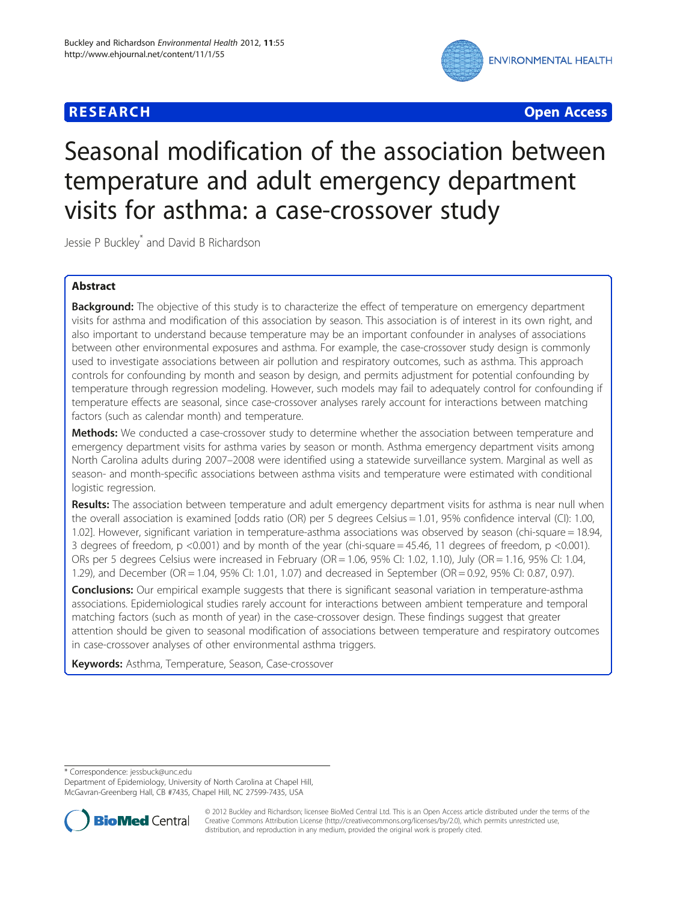# **RESEARCH CHE Open Access**



# Seasonal modification of the association between temperature and adult emergency department visits for asthma: a case-crossover study

Jessie P Buckley<sup>\*</sup> and David B Richardson

# Abstract

Background: The objective of this study is to characterize the effect of temperature on emergency department visits for asthma and modification of this association by season. This association is of interest in its own right, and also important to understand because temperature may be an important confounder in analyses of associations between other environmental exposures and asthma. For example, the case-crossover study design is commonly used to investigate associations between air pollution and respiratory outcomes, such as asthma. This approach controls for confounding by month and season by design, and permits adjustment for potential confounding by temperature through regression modeling. However, such models may fail to adequately control for confounding if temperature effects are seasonal, since case-crossover analyses rarely account for interactions between matching factors (such as calendar month) and temperature.

Methods: We conducted a case-crossover study to determine whether the association between temperature and emergency department visits for asthma varies by season or month. Asthma emergency department visits among North Carolina adults during 2007–2008 were identified using a statewide surveillance system. Marginal as well as season- and month-specific associations between asthma visits and temperature were estimated with conditional logistic regression.

Results: The association between temperature and adult emergency department visits for asthma is near null when the overall association is examined [odds ratio (OR) per 5 degrees Celsius = 1.01, 95% confidence interval (CI): 1.00, 1.02]. However, significant variation in temperature-asthma associations was observed by season (chi-square = 18.94, 3 degrees of freedom, p <0.001) and by month of the year (chi-square = 45.46, 11 degrees of freedom, p <0.001). ORs per 5 degrees Celsius were increased in February (OR = 1.06, 95% CI: 1.02, 1.10), July (OR = 1.16, 95% CI: 1.04, 1.29), and December (OR = 1.04, 95% CI: 1.01, 1.07) and decreased in September (OR = 0.92, 95% CI: 0.87, 0.97).

**Conclusions:** Our empirical example suggests that there is significant seasonal variation in temperature-asthma associations. Epidemiological studies rarely account for interactions between ambient temperature and temporal matching factors (such as month of year) in the case-crossover design. These findings suggest that greater attention should be given to seasonal modification of associations between temperature and respiratory outcomes in case-crossover analyses of other environmental asthma triggers.

Keywords: Asthma, Temperature, Season, Case-crossover

\* Correspondence: [jessbuck@unc.edu](mailto:jessbuck@unc.edu)

Department of Epidemiology, University of North Carolina at Chapel Hill, McGavran-Greenberg Hall, CB #7435, Chapel Hill, NC 27599-7435, USA



© 2012 Buckley and Richardson; licensee BioMed Central Ltd. This is an Open Access article distributed under the terms of the Creative Commons Attribution License (<http://creativecommons.org/licenses/by/2.0>), which permits unrestricted use, distribution, and reproduction in any medium, provided the original work is properly cited.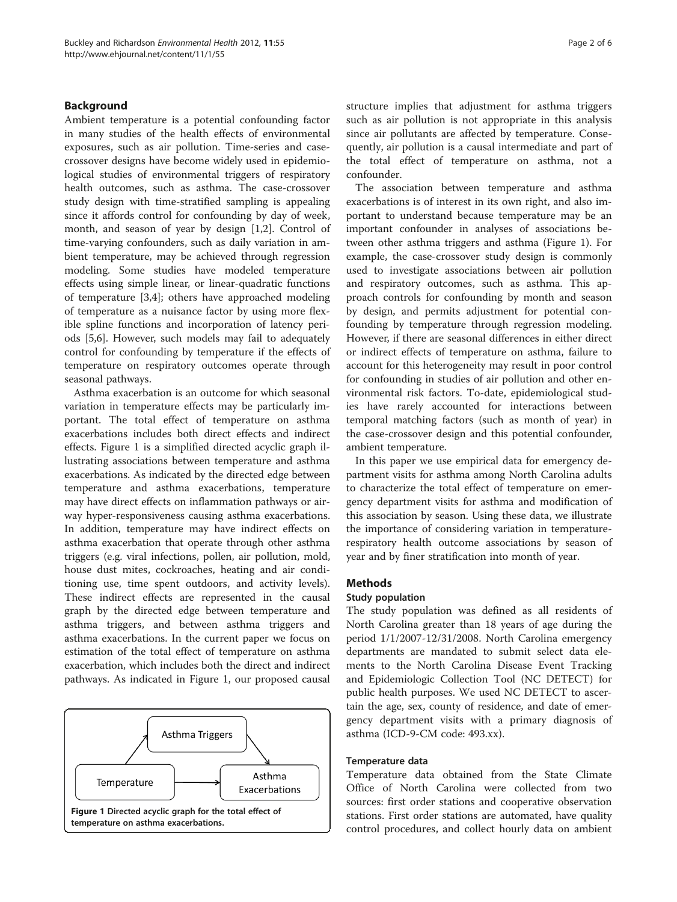# <span id="page-1-0"></span>Background

Ambient temperature is a potential confounding factor in many studies of the health effects of environmental exposures, such as air pollution. Time-series and casecrossover designs have become widely used in epidemiological studies of environmental triggers of respiratory health outcomes, such as asthma. The case-crossover study design with time-stratified sampling is appealing since it affords control for confounding by day of week, month, and season of year by design [\[1,2](#page-4-0)]. Control of time-varying confounders, such as daily variation in ambient temperature, may be achieved through regression modeling. Some studies have modeled temperature effects using simple linear, or linear-quadratic functions of temperature [\[3](#page-4-0),[4](#page-4-0)]; others have approached modeling of temperature as a nuisance factor by using more flexible spline functions and incorporation of latency periods [[5,6\]](#page-4-0). However, such models may fail to adequately control for confounding by temperature if the effects of temperature on respiratory outcomes operate through seasonal pathways.

Asthma exacerbation is an outcome for which seasonal variation in temperature effects may be particularly important. The total effect of temperature on asthma exacerbations includes both direct effects and indirect effects. Figure 1 is a simplified directed acyclic graph illustrating associations between temperature and asthma exacerbations. As indicated by the directed edge between temperature and asthma exacerbations, temperature may have direct effects on inflammation pathways or airway hyper-responsiveness causing asthma exacerbations. In addition, temperature may have indirect effects on asthma exacerbation that operate through other asthma triggers (e.g. viral infections, pollen, air pollution, mold, house dust mites, cockroaches, heating and air conditioning use, time spent outdoors, and activity levels). These indirect effects are represented in the causal graph by the directed edge between temperature and asthma triggers, and between asthma triggers and asthma exacerbations. In the current paper we focus on estimation of the total effect of temperature on asthma exacerbation, which includes both the direct and indirect pathways. As indicated in Figure 1, our proposed causal



structure implies that adjustment for asthma triggers such as air pollution is not appropriate in this analysis since air pollutants are affected by temperature. Consequently, air pollution is a causal intermediate and part of the total effect of temperature on asthma, not a confounder.

The association between temperature and asthma exacerbations is of interest in its own right, and also important to understand because temperature may be an important confounder in analyses of associations between other asthma triggers and asthma (Figure 1). For example, the case-crossover study design is commonly used to investigate associations between air pollution and respiratory outcomes, such as asthma. This approach controls for confounding by month and season by design, and permits adjustment for potential confounding by temperature through regression modeling. However, if there are seasonal differences in either direct or indirect effects of temperature on asthma, failure to account for this heterogeneity may result in poor control for confounding in studies of air pollution and other environmental risk factors. To-date, epidemiological studies have rarely accounted for interactions between temporal matching factors (such as month of year) in the case-crossover design and this potential confounder, ambient temperature.

In this paper we use empirical data for emergency department visits for asthma among North Carolina adults to characterize the total effect of temperature on emergency department visits for asthma and modification of this association by season. Using these data, we illustrate the importance of considering variation in temperaturerespiratory health outcome associations by season of year and by finer stratification into month of year.

# Methods

#### Study population

The study population was defined as all residents of North Carolina greater than 18 years of age during the period 1/1/2007-12/31/2008. North Carolina emergency departments are mandated to submit select data elements to the North Carolina Disease Event Tracking and Epidemiologic Collection Tool (NC DETECT) for public health purposes. We used NC DETECT to ascertain the age, sex, county of residence, and date of emergency department visits with a primary diagnosis of asthma (ICD-9-CM code: 493.xx).

#### Temperature data

Temperature data obtained from the State Climate Office of North Carolina were collected from two sources: first order stations and cooperative observation stations. First order stations are automated, have quality control procedures, and collect hourly data on ambient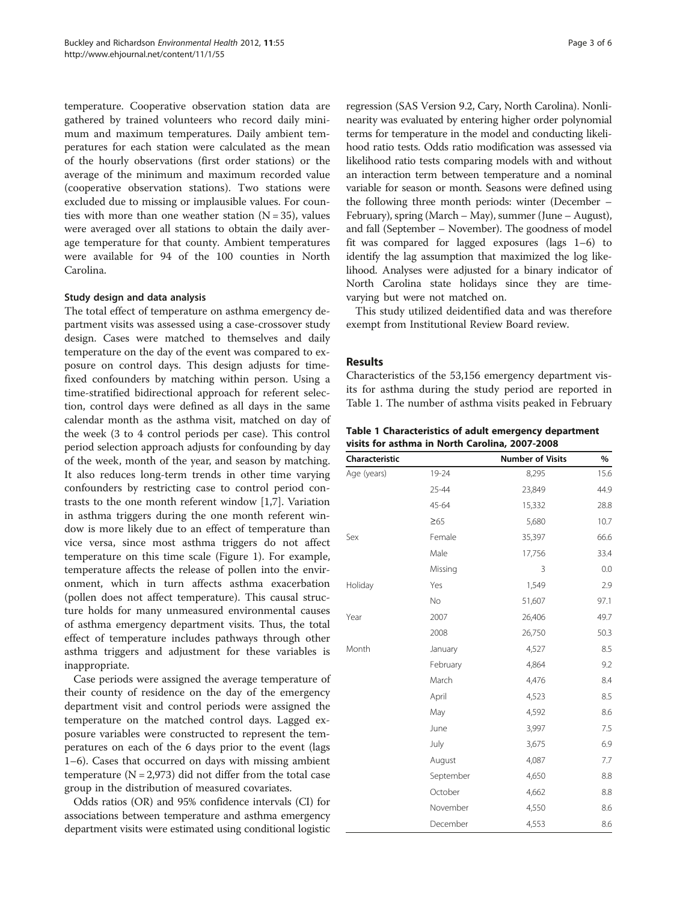temperature. Cooperative observation station data are gathered by trained volunteers who record daily minimum and maximum temperatures. Daily ambient temperatures for each station were calculated as the mean of the hourly observations (first order stations) or the average of the minimum and maximum recorded value (cooperative observation stations). Two stations were excluded due to missing or implausible values. For counties with more than one weather station  $(N = 35)$ , values were averaged over all stations to obtain the daily average temperature for that county. Ambient temperatures were available for 94 of the 100 counties in North Carolina.

# Study design and data analysis

The total effect of temperature on asthma emergency department visits was assessed using a case-crossover study design. Cases were matched to themselves and daily temperature on the day of the event was compared to exposure on control days. This design adjusts for timefixed confounders by matching within person. Using a time-stratified bidirectional approach for referent selection, control days were defined as all days in the same calendar month as the asthma visit, matched on day of the week (3 to 4 control periods per case). This control period selection approach adjusts for confounding by day of the week, month of the year, and season by matching. It also reduces long-term trends in other time varying confounders by restricting case to control period contrasts to the one month referent window [\[1](#page-4-0),[7\]](#page-4-0). Variation in asthma triggers during the one month referent window is more likely due to an effect of temperature than vice versa, since most asthma triggers do not affect temperature on this time scale (Figure [1](#page-1-0)). For example, temperature affects the release of pollen into the environment, which in turn affects asthma exacerbation (pollen does not affect temperature). This causal structure holds for many unmeasured environmental causes of asthma emergency department visits. Thus, the total effect of temperature includes pathways through other asthma triggers and adjustment for these variables is inappropriate.

Case periods were assigned the average temperature of their county of residence on the day of the emergency department visit and control periods were assigned the temperature on the matched control days. Lagged exposure variables were constructed to represent the temperatures on each of the 6 days prior to the event (lags 1–6). Cases that occurred on days with missing ambient temperature  $(N = 2,973)$  did not differ from the total case group in the distribution of measured covariates.

Odds ratios (OR) and 95% confidence intervals (CI) for associations between temperature and asthma emergency department visits were estimated using conditional logistic

regression (SAS Version 9.2, Cary, North Carolina). Nonlinearity was evaluated by entering higher order polynomial terms for temperature in the model and conducting likelihood ratio tests. Odds ratio modification was assessed via likelihood ratio tests comparing models with and without an interaction term between temperature and a nominal variable for season or month. Seasons were defined using the following three month periods: winter (December – February), spring (March – May), summer (June – August), and fall (September – November). The goodness of model fit was compared for lagged exposures (lags 1–6) to identify the lag assumption that maximized the log likelihood. Analyses were adjusted for a binary indicator of North Carolina state holidays since they are timevarying but were not matched on.

This study utilized deidentified data and was therefore exempt from Institutional Review Board review.

### Results

Characteristics of the 53,156 emergency department visits for asthma during the study period are reported in Table 1. The number of asthma visits peaked in February

Table 1 Characteristics of adult emergency department visits for asthma in North Carolina, 2007-2008

| Characteristic |           | <b>Number of Visits</b> | $\%$ |
|----------------|-----------|-------------------------|------|
| Age (years)    | 19-24     | 8,295                   | 15.6 |
|                | 25-44     | 23,849                  | 44.9 |
|                | 45-64     | 15,332                  | 28.8 |
|                | $\geq 65$ | 5,680                   | 10.7 |
| Sex            | Female    | 35,397                  | 66.6 |
|                | Male      | 17,756                  | 33.4 |
|                | Missing   | 3                       | 0.0  |
| Holiday        | Yes       | 1,549                   | 2.9  |
|                | <b>No</b> | 51,607                  | 97.1 |
| Year           | 2007      | 26,406                  | 49.7 |
|                | 2008      | 26,750                  | 50.3 |
| Month          | January   | 4,527                   | 8.5  |
|                | February  | 4,864                   | 9.2  |
|                | March     | 4,476                   | 8.4  |
|                | April     | 4,523                   | 8.5  |
|                | May       | 4,592                   | 8.6  |
|                | June      | 3,997                   | 7.5  |
|                | July      | 3,675                   | 6.9  |
|                | August    | 4,087                   | 7.7  |
|                | September | 4,650                   | 8.8  |
|                | October   | 4,662                   | 8.8  |
|                | November  | 4,550                   | 8.6  |
|                | December  | 4,553                   | 8.6  |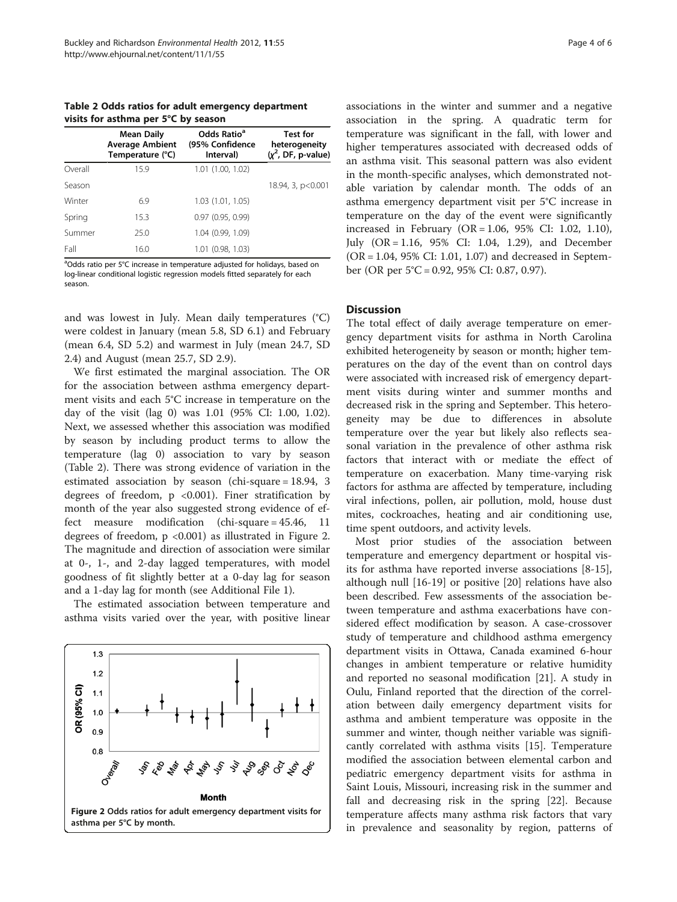Table 2 Odds ratios for adult emergency department visits for asthma per 5°C by season

|         | <b>Mean Daily</b><br><b>Average Ambient</b><br>Temperature (°C) | Odds Ratio <sup>a</sup><br>(95% Confidence<br>Interval) | <b>Test for</b><br>heterogeneity<br>$(x^2, DF, p-value)$ |
|---------|-----------------------------------------------------------------|---------------------------------------------------------|----------------------------------------------------------|
| Overall | 15.9                                                            | 1.01 (1.00, 1.02)                                       |                                                          |
| Season  |                                                                 |                                                         | 18.94, 3, p<0.001                                        |
| Winter  | 6.9                                                             | 1.03 (1.01, 1.05)                                       |                                                          |
| Spring  | 15.3                                                            | 0.97(0.95, 0.99)                                        |                                                          |
| Summer  | 25.0                                                            | 1.04 (0.99, 1.09)                                       |                                                          |
| Fall    | 16.0                                                            | 1.01 (0.98, 1.03)                                       |                                                          |

<sup>a</sup>Odds ratio per 5°C increase in temperature adjusted for holidays, based on log-linear conditional logistic regression models fitted separately for each season.

and was lowest in July. Mean daily temperatures (°C) were coldest in January (mean 5.8, SD 6.1) and February (mean 6.4, SD 5.2) and warmest in July (mean 24.7, SD 2.4) and August (mean 25.7, SD 2.9).

We first estimated the marginal association. The OR for the association between asthma emergency department visits and each 5°C increase in temperature on the day of the visit (lag 0) was 1.01 (95% CI: 1.00, 1.02). Next, we assessed whether this association was modified by season by including product terms to allow the temperature (lag 0) association to vary by season (Table 2). There was strong evidence of variation in the estimated association by season (chi-square = 18.94, 3 degrees of freedom,  $p \leq 0.001$ ). Finer stratification by month of the year also suggested strong evidence of effect measure modification (chi-square = 45.46, 11 degrees of freedom, p <0.001) as illustrated in Figure 2. The magnitude and direction of association were similar at 0-, 1-, and 2-day lagged temperatures, with model goodness of fit slightly better at a 0-day lag for season and a 1-day lag for month (see Additional File 1).

The estimated association between temperature and asthma visits varied over the year, with positive linear



associations in the winter and summer and a negative association in the spring. A quadratic term for temperature was significant in the fall, with lower and higher temperatures associated with decreased odds of an asthma visit. This seasonal pattern was also evident in the month-specific analyses, which demonstrated notable variation by calendar month. The odds of an asthma emergency department visit per 5°C increase in temperature on the day of the event were significantly increased in February (OR = 1.06, 95% CI: 1.02, 1.10), July (OR = 1.16, 95% CI: 1.04, 1.29), and December (OR = 1.04, 95% CI: 1.01, 1.07) and decreased in September (OR per 5°C = 0.92, 95% CI: 0.87, 0.97).

# **Discussion**

The total effect of daily average temperature on emergency department visits for asthma in North Carolina exhibited heterogeneity by season or month; higher temperatures on the day of the event than on control days were associated with increased risk of emergency department visits during winter and summer months and decreased risk in the spring and September. This heterogeneity may be due to differences in absolute temperature over the year but likely also reflects seasonal variation in the prevalence of other asthma risk factors that interact with or mediate the effect of temperature on exacerbation. Many time-varying risk factors for asthma are affected by temperature, including viral infections, pollen, air pollution, mold, house dust mites, cockroaches, heating and air conditioning use, time spent outdoors, and activity levels.

Most prior studies of the association between temperature and emergency department or hospital visits for asthma have reported inverse associations [[8](#page-4-0)[-15](#page-5-0)], although null [\[16](#page-5-0)-[19\]](#page-5-0) or positive [\[20\]](#page-5-0) relations have also been described. Few assessments of the association between temperature and asthma exacerbations have considered effect modification by season. A case-crossover study of temperature and childhood asthma emergency department visits in Ottawa, Canada examined 6-hour changes in ambient temperature or relative humidity and reported no seasonal modification [\[21](#page-5-0)]. A study in Oulu, Finland reported that the direction of the correlation between daily emergency department visits for asthma and ambient temperature was opposite in the summer and winter, though neither variable was significantly correlated with asthma visits [\[15](#page-5-0)]. Temperature modified the association between elemental carbon and pediatric emergency department visits for asthma in Saint Louis, Missouri, increasing risk in the summer and fall and decreasing risk in the spring [\[22](#page-5-0)]. Because temperature affects many asthma risk factors that vary in prevalence and seasonality by region, patterns of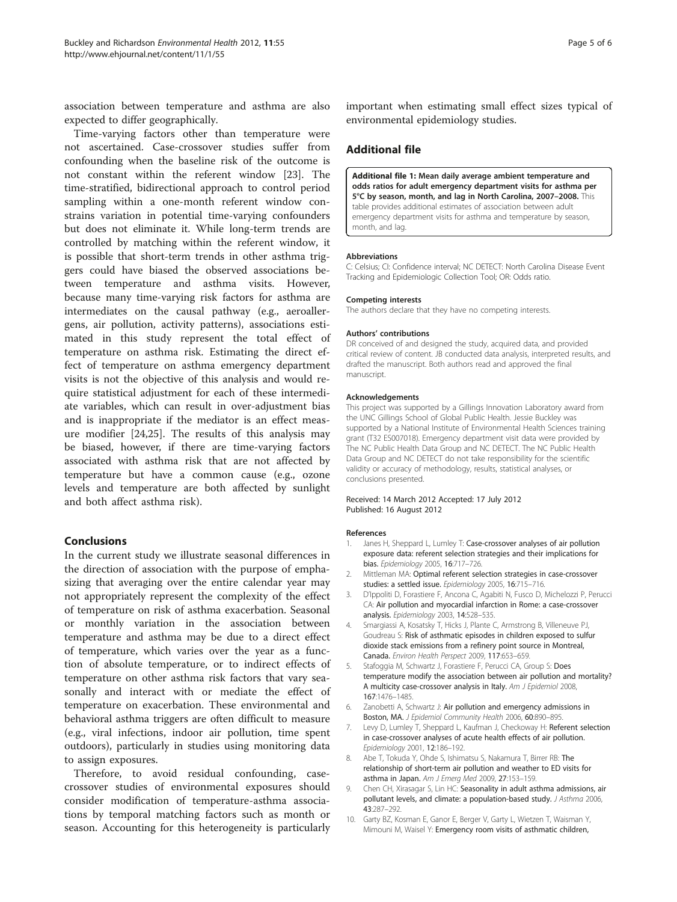<span id="page-4-0"></span>association between temperature and asthma are also expected to differ geographically.

Time-varying factors other than temperature were not ascertained. Case-crossover studies suffer from confounding when the baseline risk of the outcome is not constant within the referent window [\[23](#page-5-0)]. The time-stratified, bidirectional approach to control period sampling within a one-month referent window constrains variation in potential time-varying confounders but does not eliminate it. While long-term trends are controlled by matching within the referent window, it is possible that short-term trends in other asthma triggers could have biased the observed associations between temperature and asthma visits. However, because many time-varying risk factors for asthma are intermediates on the causal pathway (e.g., aeroallergens, air pollution, activity patterns), associations estimated in this study represent the total effect of temperature on asthma risk. Estimating the direct effect of temperature on asthma emergency department visits is not the objective of this analysis and would require statistical adjustment for each of these intermediate variables, which can result in over-adjustment bias and is inappropriate if the mediator is an effect measure modifier [\[24,25\]](#page-5-0). The results of this analysis may be biased, however, if there are time-varying factors associated with asthma risk that are not affected by temperature but have a common cause (e.g., ozone levels and temperature are both affected by sunlight and both affect asthma risk).

# Conclusions

In the current study we illustrate seasonal differences in the direction of association with the purpose of emphasizing that averaging over the entire calendar year may not appropriately represent the complexity of the effect of temperature on risk of asthma exacerbation. Seasonal or monthly variation in the association between temperature and asthma may be due to a direct effect of temperature, which varies over the year as a function of absolute temperature, or to indirect effects of temperature on other asthma risk factors that vary seasonally and interact with or mediate the effect of temperature on exacerbation. These environmental and behavioral asthma triggers are often difficult to measure (e.g., viral infections, indoor air pollution, time spent outdoors), particularly in studies using monitoring data to assign exposures.

Therefore, to avoid residual confounding, casecrossover studies of environmental exposures should consider modification of temperature-asthma associations by temporal matching factors such as month or season. Accounting for this heterogeneity is particularly important when estimating small effect sizes typical of environmental epidemiology studies.

# Additional file

[Additional file 1:](http://www.biomedcentral.com/content/supplementary/1476-069X-11-55-S1.xls) Mean daily average ambient temperature and odds ratios for adult emergency department visits for asthma per 5°C by season, month, and lag in North Carolina, 2007–2008. This table provides additional estimates of association between adult emergency department visits for asthma and temperature by season, month, and lag.

#### Abbreviations

C: Celsius; CI: Confidence interval; NC DETECT: North Carolina Disease Event Tracking and Epidemiologic Collection Tool; OR: Odds ratio.

#### Competing interests

The authors declare that they have no competing interests.

#### Authors' contributions

DR conceived of and designed the study, acquired data, and provided critical review of content. JB conducted data analysis, interpreted results, and drafted the manuscript. Both authors read and approved the final manuscript.

#### Acknowledgements

This project was supported by a Gillings Innovation Laboratory award from the UNC Gillings School of Global Public Health. Jessie Buckley was supported by a National Institute of Environmental Health Sciences training grant (T32 ES007018). Emergency department visit data were provided by The NC Public Health Data Group and NC DETECT. The NC Public Health Data Group and NC DETECT do not take responsibility for the scientific validity or accuracy of methodology, results, statistical analyses, or conclusions presented.

#### Received: 14 March 2012 Accepted: 17 July 2012 Published: 16 August 2012

#### References

- 1. Janes H, Sheppard L, Lumley T: Case-crossover analyses of air pollution exposure data: referent selection strategies and their implications for bias. Epidemiology 2005, 16:717–726.
- 2. Mittleman MA: Optimal referent selection strategies in case-crossover studies: a settled issue. Epidemiology 2005, 16:715–716.
- 3. D'Ippoliti D, Forastiere F, Ancona C, Agabiti N, Fusco D, Michelozzi P, Perucci CA: Air pollution and myocardial infarction in Rome: a case-crossover analysis. Epidemiology 2003, 14:528–535.
- 4. Smargiassi A, Kosatsky T, Hicks J, Plante C, Armstrong B, Villeneuve PJ, Goudreau S: Risk of asthmatic episodes in children exposed to sulfur dioxide stack emissions from a refinery point source in Montreal, Canada. Environ Health Perspect 2009, 117:653–659.
- Stafoggia M, Schwartz J, Forastiere F, Perucci CA, Group S: Does temperature modify the association between air pollution and mortality? A multicity case-crossover analysis in Italy. Am J Epidemiol 2008, 167:1476–1485.
- 6. Zanobetti A, Schwartz J: Air pollution and emergency admissions in Boston, MA. J Epidemiol Community Health 2006, 60:890–895.
- 7. Levy D, Lumley T, Sheppard L, Kaufman J, Checkoway H: Referent selection in case-crossover analyses of acute health effects of air pollution. Epidemiology 2001, 12:186–192.
- 8. Abe T, Tokuda Y, Ohde S, Ishimatsu S, Nakamura T, Birrer RB: The relationship of short-term air pollution and weather to ED visits for asthma in Japan. Am J Emerg Med 2009, 27:153–159.
- 9. Chen CH, Xirasagar S, Lin HC: Seasonality in adult asthma admissions, air pollutant levels, and climate: a population-based study. J Asthma 2006, 43:287–292.
- 10. Garty BZ, Kosman E, Ganor E, Berger V, Garty L, Wietzen T, Waisman Y, Mimouni M, Waisel Y: Emergency room visits of asthmatic children,